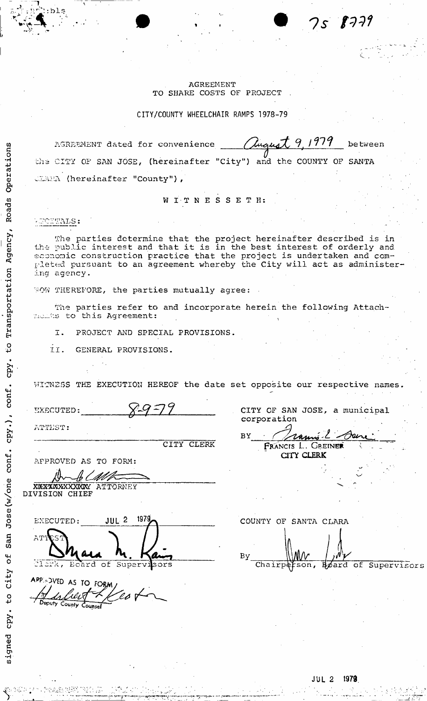# **AGREEMENT** TO SHARE COSTS OF PROJECT

CITY/COUNTY WHEELCHAIR RAMPS 1978-79

Chiquet 9, 1979 AGREEMENT dated for convenience between the CITY OF SAN JOSE, (hereinafter "City") and the COUNTY OF SANTA CLARA (hereinafter "County"),

WITNESSETH:

WOUTALS:

Transportation Agency, Roads Operations

0<br>ټ

cpy.

Jose(w/one conf. cpy.), conf.

San

**bf** 

City

 $\overline{c}$ 

signed cpy.

 $\mathbf{D}$ 

The parties determine that the project hereinafter described is in the public interest and that it is in the best interest of orderly and economic construction practice that the project is undertaken and com-<br>pleted pursuant to an agreement whereby the City will act as administering agency.

WOW THEREFORE, the parties mutually agree:

The parties refer to and incorporate herein the following Attachmember to this Agreement:

PROJECT AND SPECIAL PROVISIONS. I.

II. GENERAL PROVISIONS.

WITNESS THE EXECUTION HEREOF the date set opposite our respective names.

| EXECUTED:                                     |                          | 9577 |            |
|-----------------------------------------------|--------------------------|------|------------|
| ATTHST:                                       |                          |      |            |
|                                               |                          |      | CITY CLERK |
| APPROVED AS TO FORM:                          |                          |      |            |
|                                               |                          |      |            |
| XXXXXXXXXXXX ATTORNEY<br><b>IVISION CHIEF</b> |                          |      |            |
| EXECUTED:                                     | 1979<br>JUL <sub>2</sub> |      |            |
| ATTEST                                        |                          |      |            |
|                                               | Ecard of Supervisors     |      |            |

APP: - DVED AS TO FORM uputy County

|             |  | CITY OF SAN JOSE, a municipal |  |  |
|-------------|--|-------------------------------|--|--|
| corporation |  |                               |  |  |
| <b>BY</b>   |  | Pramier danc                  |  |  |
|             |  | FRANCIS L. GREINER            |  |  |

 $8779$ 

75 -

COUNTY OF SANTA CLARA Bу  $Chairp\notin$ son, Hoard of Supervisors

CITY CLERK

1979  $JUL<sub>2</sub>$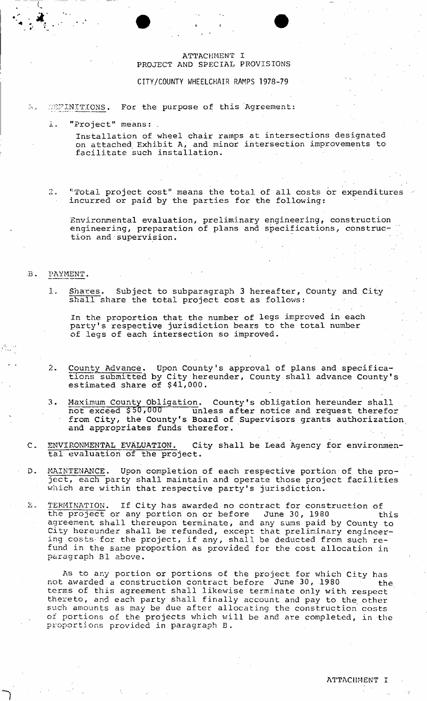# ATTACHMENT I PROJECT AND SPECIAL PROVISIONS

CITY/COUNTY WHEELCHAIR RAMPS 1978-79

#### DEFINITIONS. For the purpose of this Agreement:  $\mathcal{P}_{\mathbf{t},\mathbf{t}}$

1. "Project" means: .

Installation of wheel chair ramps at intersections designated on attached Exhibit A, and minor intersection improvements to facilitate such installation.

2. "Total project cost" means the total of all costs or expenditures incurred or paid by the parties for the following:

Environmental evaluation, preliminary engineering, construction engineering, preparation of plans and specifications, construction and supervision.

### B. PAYMENT.

Shares. Subject to subparagraph 3 hereafter, County and City  $\mathbf{1}$ . shall share the total project cost as follows:

In the proportion that the number of legs improved in each party's respective jurisdiction bears to the total number of legs of each intersection so improved.

- County Advance. Upon County's approval of plans and specifica- $2.$ tions submitted by City hereunder, County shall advance County's estimated share of \$41,000.
- 3. Maximum County Obligation. County's obligation hereunder shall not exceed \$50,000 unless after notice and request therefor from City, the County's Board of Supervisors grants authorization and appropriates funds therefor.
- C. ENVIRONMENTAL EVALUATION. City shall be Lead Agency for environmental evaluation of the project.
- D. MAINTENANCE. Upon completion of each respective portion of the project, each party shall maintain and operate those project facilities which are within that respective party's jurisdiction.

Σ. TERMINATION. If City has awarded no contract for construction of the project or any portion on or before 5 June 30, 1980 this agreement shall thereupon terminate, and any sums paid by County to City hereunder shall be refunded, except that preliminary engineering costs- for the project, if any, shall be deducted from such refund in the same proportion as provided for the cost allocation in paragraph B1 above.

As to any portion or portions of the project for which City has not awarded a construction contract before June 30, 1980 terms of this agreement shall likewise terminate only with respect thereto, and each party shall finally account and pay to the other such amounts as may be due after allocating the construction costs of portions of the projects which will be and are completed, in the proportions provided in paragraph B.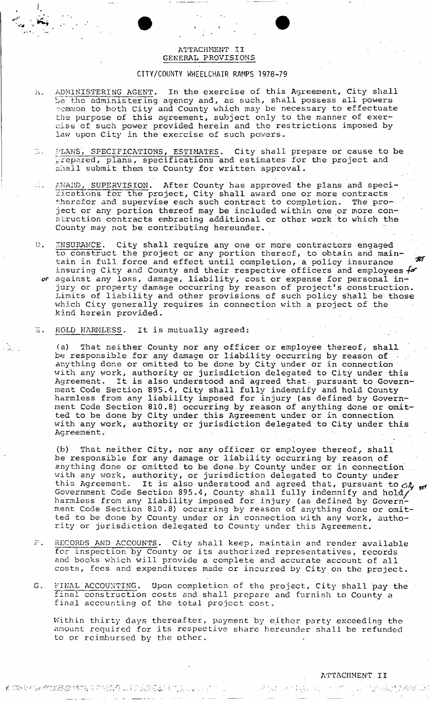# ATTACHMENT II GENERAL PROVISIONS

# CITY/COUNTY WHEELCHAIR RAMPS 1978-79

- ADMINISTERING AGENT. In the exercise of this Agreement, City shall  $\Lambda$ . be the administering agency and, as such, shall possess all powers vcmmon to both City and County which may be necessary to effectuate the purpose of this agreement, subject only to the manner of exercise of such power provided herein and the restrictions imposed by law upon City in the exercise of such powers.
- 13. PLANS', SPECIFICATIONS, ESTIMATES. City shall prepare or cause to be prepared, plans, specifications and estimates for the project and shall submit them to County for written approval.
- AWARD, SUPERVISION. After County has approved the plans and specifications for the project, City shall award one or more contracts therefor and supervise each such contract to completion. The protherefor and supervise each such contract to completion. ject or any portion thereof may be included within one or more construction contracts embracing additional or other work to which the County may not be contributing hereunder.
- $\mathbb{D}$ . INSURANCE. City shall require any one or more contractors engaged to construct the project or any portion thereof, to obtain and maintain in full force and effect until completion, a policy insurance  $\mathscr{V}'$ insuring City and County and their respective officers and employees  $f\hspace{-1.9mm}\mathscr{A}$  . against any loss, damage, liability, cost or expense for personal injury or property damage occurring by reason of project's construction. Limits of liability and other provisions of such policy shall be those which City generally requires in connection with a project of the kind herein provided.
- $37.1$ HOLD HARMLESS. It is mutually agreed:

(a) That neither County nor any officer or employee thereof, shall be responsible for any damage or liability occurring by reason of  $\sim$ anything done or omitted to be done by City under or in connection with any work, authority or jurisdiction delegated to City under this Agreement. It is also understood and agreed that, pursuant to Government Code Section 895.4 , City shall fully indemnify and hold County harmless from any liability imposed for injury (as defined"by Government Code Section 810.8 ) occurring by reason of anything done or omitted to be done by City under this Agreement under or in connection with any work, authority or jurisdiction delegated to City under this Agreement.

(b) That neither City, nor any officer or employee thereof, shall be responsible for any damage or liability occurring by reason of anything done or omitted to be done by County under or in connection with any work, authority, or jurisdiction delegated to County under this Agreement. It is also understood and agreed that, pursuant to  $ch_{gr}$ Government Code Section 895.4 , County shall fully indemnify and hold/ harmless from any liability imposed for injury (as defined by Government Code Section 810.8 ) occurring by reason of anything done or omitted to be done by County under or in connection with any work, authority or jurisdiction delegated to County under this Agreement.

- $\widetilde{E}^{\prime}$  . RECORDS AND ACCOUNTS. City shall keep, maintain and render available for inspection by County or its authorized representatives, records and books which will provide a complete and accurate account of all costs, fees and expenditures made or incurred by City on the project.
- $G$ . FINAL ACCOUNTING. Upon completion of the project, City shall pay the final construction costs and shall prepare and furnish to County a final accounting of the total project cost.

Within thirty days thereafter, payment by either party exceeding the amount required for its respective share hereunder shall be refunded to or reimbursed by the other.

 $\label{eq:2} \frac{1}{2} \left( \frac{1}{2} \frac{d^2}{dx^2} + \frac{1}{2} \frac{d^2}{dx^2} + \frac{1}{2} \frac{d^2}{dx^2} \right)$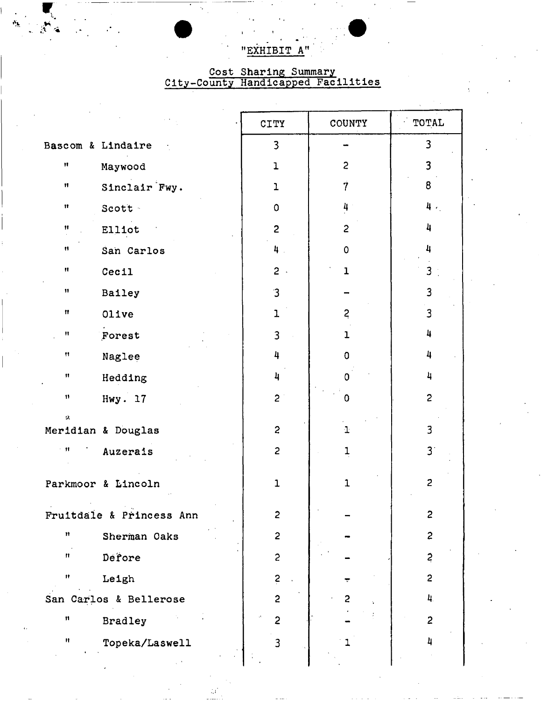"EXHIBIT A"

# Cost Sharing Summary<br>City-County Handicapped Facilities

|                      |                          | <b>CITY</b>             | COUNTY         | TOTAL                   |
|----------------------|--------------------------|-------------------------|----------------|-------------------------|
|                      | Bascom & Lindaire        | 3                       |                | 3                       |
| Ħ                    | Maywood                  | $\mathbf{I}$            | $\overline{c}$ | 3                       |
| n                    | Sinclair Fwy.            | $\mathbf{1}$            | 7              | 8                       |
| Ħ                    | Scott -                  | 0                       | 4              | 4.                      |
| Ħ                    | Elliot                   | $\overline{c}$          | 2              | 4                       |
| n                    | San Carlos               | 4.                      | 0              | 4                       |
| Ħ                    | Cecil                    | $2$ .                   | 1              | $\overline{3}$          |
| 11                   | Bailey                   | $\overline{3}$          |                | $\overline{\mathbf{3}}$ |
| Ħ                    | Olive                    | $\mathbf{I}$            | $\overline{c}$ | $\mathbf{3}$            |
| Ħ                    | Forest                   | 3                       | $\mathbf{I}$   | 4                       |
| 11                   | Naglee                   | 4                       | 0              | 4                       |
| $\mathbf{H}$         | Hedding                  | 4                       | n              | 4                       |
| 11                   | Hwy. 17                  | $\overline{c}$          | 0              | $\overline{c}$          |
| Ù.                   | Meridian & Douglas       | $\overline{\mathbf{c}}$ | $\mathbf 1$    | 3                       |
| 一材                   | Auzerais                 | $\overline{c}$          | 1              | 3 <sup>1</sup>          |
|                      | Parkmoor & Lincoln       | $\mathbf{1}$            | $\mathbf{1}$   | $\overline{c}$          |
|                      | Fruitdale & Princess Ann | $\overline{2}$          |                | $\mathbf{c}$            |
| Ħ                    | Sherman Oaks             | $\overline{c}$          |                | $\overline{c}$          |
| n                    | Defore                   | $\mathbf{c}$            |                | $\ddot{z}$              |
| Ħ                    | Leigh                    | $\ddot{z}$              |                | $\overline{c}$          |
|                      | San Carlos & Bellerose   | $\overline{c}$          | 2              | 4.                      |
| $\pmb{\mathfrak{m}}$ | <b>Bradley</b>           | $\overline{2}$          |                | $\overline{2}$          |
| Ħ                    | Topeka/Laswell           | 3                       |                | 4                       |

 $\mathbb{Z}^4$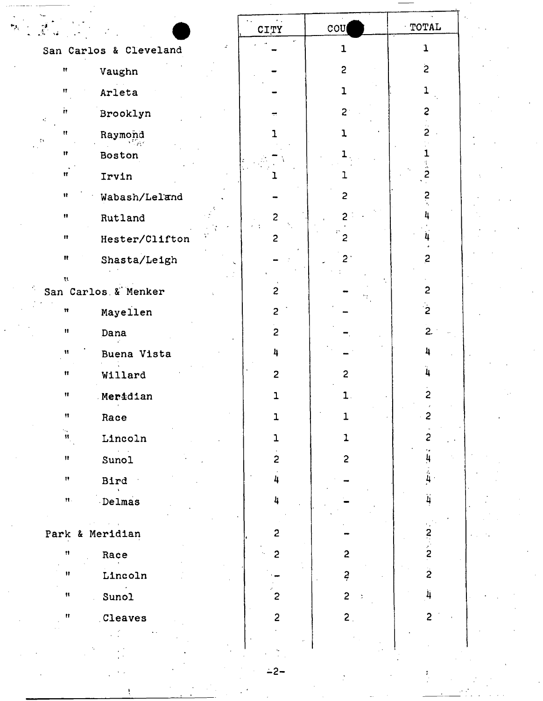|                                      |    | <b>CITY</b>             | $\cot$         | TOTAL                                   |  |
|--------------------------------------|----|-------------------------|----------------|-----------------------------------------|--|
| San Carlos & Cleveland               | z. |                         | 1              | 1                                       |  |
| Ħ<br>Vaughn                          |    |                         | $\overline{c}$ | $\overline{c}$                          |  |
| Arleta<br>n                          |    |                         | 1              |                                         |  |
| ÌТ.<br>Brooklyn<br>٠ř                |    |                         | 2 <sup>1</sup> | $\overline{c}$                          |  |
| Ħ<br>Raymond<br>- EN                 |    |                         | ı              | $\overline{c}$                          |  |
| Ħ<br>Boston                          |    |                         |                |                                         |  |
| Ħ<br>Irvin                           |    |                         | 1              | $\ddot{\hat{z}}$                        |  |
| Wabash/Leland<br>Ħ                   |    |                         | 2              | $\ddot{z}$                              |  |
| Rutland<br>$\pmb{\mathsf{H}}$        |    | $\overline{\mathbf{c}}$ | 2              |                                         |  |
| Hester/Clifton<br>$\pmb{\mathsf{H}}$ |    | $\overline{c}$          | 2              |                                         |  |
| $\pmb{\mathfrak{m}}$<br>Shasta/Leigh |    |                         | $2^+$          | $\overline{c}$                          |  |
| U.<br>San Carlos & Menker            |    | $\overline{c}$          |                | $\mathbf{2}$                            |  |
| Mayellen<br>Ħ                        |    | $\overline{c}$          |                | $\mathbf{r}$                            |  |
| 11<br>Dana                           |    | $\overline{c}$          |                | $\overline{2}$                          |  |
| Buena Vista<br>Ħ                     |    | 4                       |                | 4                                       |  |
| Ħ<br>Willard                         |    | $\overline{2}$          | $\overline{c}$ | 4                                       |  |
| Ħ<br>Meridian                        |    | ı                       | 1.             | $\overline{c}$                          |  |
| Ħ<br>Race                            |    | $\mathbf 1$             | 1              | $\boldsymbol{\prime}$<br>$\overline{c}$ |  |
| $\mathbf{u}_j$<br>Lincoln            |    | 1                       | 1              | 2                                       |  |
| Sunol<br>$\pmb{\mathcal{H}}$         |    | $\mathbf{c}$            | $\overline{c}$ | $\overline{\mathbf{u}}$                 |  |
| Bird<br>Ħ                            |    | 4                       |                | $\frac{1}{4}$                           |  |
| Delmas<br>$\mathbf{H}_\mathrm{S}$    |    | 4                       |                | $\overline{\mathbf{4}}$                 |  |
|                                      |    |                         |                |                                         |  |
| Park & Meridian                      |    | $\overline{c}$          |                | ¤<br>ג'                                 |  |
| Ħ<br>Race                            |    | $\overline{c}$          | $\overline{c}$ |                                         |  |
| Lincoln<br>Ħ                         |    |                         | $\overline{z}$ | $\ddot{2}$                              |  |
| Sunol<br>Ħ                           |    | $\overline{2}$          | $\overline{2}$ | $\ddot{4}$                              |  |
| <b>Cleaves</b><br>Ħ                  |    | $\overline{2}$          | 2 <sub>1</sub> | $\overline{c}$                          |  |
|                                      |    |                         |                |                                         |  |

 $-2-$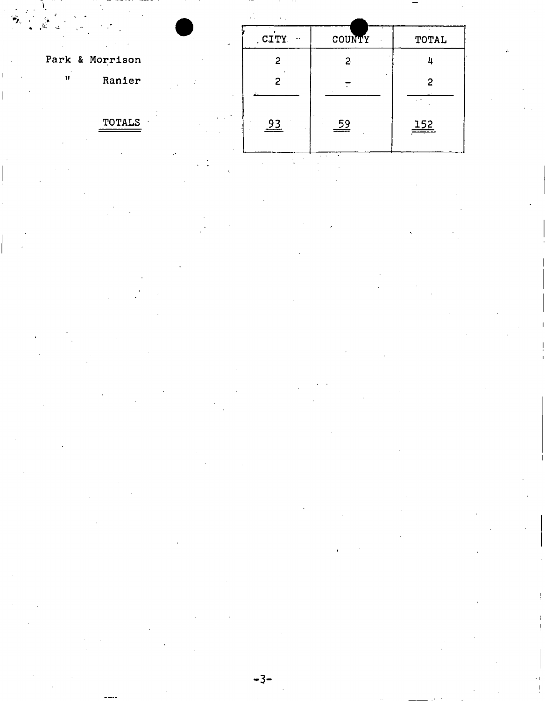|                                                | $\sim$<br>$\bullet$ . |                    |           |  |
|------------------------------------------------|-----------------------|--------------------|-----------|--|
| $\sim$                                         | CITY<br>$\bullet$ ,   | COUNTY             | TOTAL     |  |
| Park & Morrison                                | 2                     | $\mathbf{2}$       |           |  |
| $\mathbf{H}$<br>Ranier                         | 2                     |                    |           |  |
| $\mathcal{L} = \mathcal{L}$ .<br><b>TOTALS</b> | $\frac{93}{2}$        | $\stackrel{59}{=}$ | 152<br>== |  |

 $\label{eq:2.1} \frac{1}{\sqrt{2}}\left(\frac{1}{\sqrt{2}}\right)^{2} \left(\frac{1}{\sqrt{2}}\right)^{2} \left(\frac{1}{\sqrt{2}}\right)^{2} \left(\frac{1}{\sqrt{2}}\right)^{2} \left(\frac{1}{\sqrt{2}}\right)^{2} \left(\frac{1}{\sqrt{2}}\right)^{2} \left(\frac{1}{\sqrt{2}}\right)^{2} \left(\frac{1}{\sqrt{2}}\right)^{2} \left(\frac{1}{\sqrt{2}}\right)^{2} \left(\frac{1}{\sqrt{2}}\right)^{2} \left(\frac{1}{\sqrt{2}}\right)^{2} \left(\$ 

 $\frac{1}{1}$ 

 $\label{eq:2} \frac{1}{\sqrt{2}}\sum_{i=1}^n\frac{1}{\sqrt{2}}\sum_{j=1}^n\frac{1}{j!}\sum_{j=1}^n\frac{1}{j!}\sum_{j=1}^n\frac{1}{j!}\sum_{j=1}^n\frac{1}{j!}\sum_{j=1}^n\frac{1}{j!}\sum_{j=1}^n\frac{1}{j!}\sum_{j=1}^n\frac{1}{j!}\sum_{j=1}^n\frac{1}{j!}\sum_{j=1}^n\frac{1}{j!}\sum_{j=1}^n\frac{1}{j!}\sum_{j=1}^n\frac{1}{j!}\sum_{j=1}^$ 

 $\label{eq:2} \begin{array}{c} \mathcal{L}_{\text{max}}(\mathcal{L}_{\text{max}}) \\ \mathcal{L}_{\text{max}}(\mathcal{L}_{\text{max}}) \end{array}$ 

 $\label{eq:2.1} \frac{1}{2} \int_{\mathbb{R}^3} \left| \frac{1}{\sqrt{2}} \, \frac{1}{\sqrt{2}} \, \frac{1}{\sqrt{2}} \, \frac{1}{\sqrt{2}} \, \frac{1}{\sqrt{2}} \, \frac{1}{\sqrt{2}} \, \frac{1}{\sqrt{2}} \, \frac{1}{\sqrt{2}} \, \frac{1}{\sqrt{2}} \, \frac{1}{\sqrt{2}} \, \frac{1}{\sqrt{2}} \, \frac{1}{\sqrt{2}} \, \frac{1}{\sqrt{2}} \, \frac{1}{\sqrt{2}} \, \frac{1}{\sqrt{2}} \, \frac{1}{\sqrt{2$  $\mathcal{L}^{\text{max}}_{\text{max}}$  $\label{eq:2} \frac{1}{2} \sum_{i=1}^n \frac{1}{2} \sum_{j=1}^n \frac{1}{2} \sum_{j=1}^n \frac{1}{2} \sum_{j=1}^n \frac{1}{2} \sum_{j=1}^n \frac{1}{2} \sum_{j=1}^n \frac{1}{2} \sum_{j=1}^n \frac{1}{2} \sum_{j=1}^n \frac{1}{2} \sum_{j=1}^n \frac{1}{2} \sum_{j=1}^n \frac{1}{2} \sum_{j=1}^n \frac{1}{2} \sum_{j=1}^n \frac{1}{2} \sum_{j=1}^n \frac{1}{$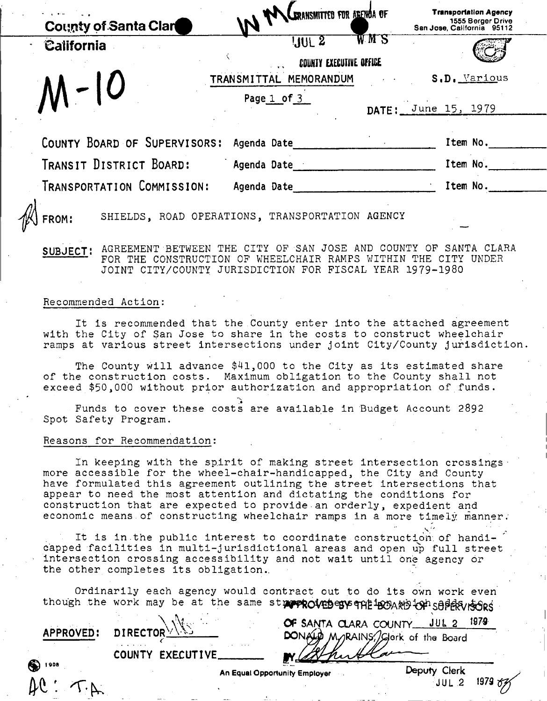| <b>County of Santa Clar</b>  | IN WALERANSMITTED FOR AREWOR OF                   |     | <b>Transportation Agency</b><br>1555 Berger Drive<br>San Jose, California 95112 |
|------------------------------|---------------------------------------------------|-----|---------------------------------------------------------------------------------|
| California                   | 10L <sub>2</sub>                                  | WMS |                                                                                 |
|                              | COUNTY EXECUTIVE OFFICE<br>TRANSMITTAL MEMORANDUM |     | S.D. Various                                                                    |
| $M-10$                       | Page 1 of 3                                       |     | DATE: June 15, 1979                                                             |
| COUNTY BOARD OF SUPERVISORS: | Agenda Date                                       |     | Item No.                                                                        |
| TRANSIT DISTRICT BOARD:      | Agenda Date                                       |     | Item No.                                                                        |
| TRANSPORTATION COMMISSION:   | Agenda Date                                       |     | Item No.                                                                        |
| <b>{  FROM:</b>              | SHIELDS, ROAD OPERATIONS, TRANSPORTATION AGENCY   |     |                                                                                 |

SUBJECT: AGREEMENT BETWEEN THE CITY OF SAN JOSE AND COUNTY OF SANTA CLARA ' FOR THE CONSTRUCTION OF WHEELCHAIR RAMPS WITHIN THE CITY UNDER JOINT CITY/COUNTY JURISDICTION FOR FISCAL YEAR 1979-1980

#### Recommended Action:

It is recommended that the County enter into the attached agreement with the City of San Jose to share In the costs to construct wheelchair ramps at various street intersections under joint City/County jurisdiction.

The County will advance \$41,000 to the City as its estimated share of the construction costs. Maximum obligation to the County shall not exceed \$50,000 without prior authorization and appropriation of funds.

"v Funds to cover these costs are available in Budget Account 2892 Spot Safety Program.

#### Reasons for Recommendation:

In keeping with the spirit of making street intersection crossings  $\cdot$ more accessible for the wheel-chair-handicapped, the City and County have formulated this agreement outlining the street intersections that appear to need the most attention and dictating the conditions for construction that are expected to provide an orderly, expedient and economic means of constructing wheelchair ramps in a more timely manner.

- It is in.the public interest to coordinate construction.of handicapped facilities in multi-jurisdictional areas and open up full street intersection crossing accessibility and not wait until one agency or the other completes its obligation.

Ordinarily each agency would contract out to do its own work even though the work may be at the same streep cuebers and the Board of Sopervicers

1 908

COUNTY EXECUTIVE.

OF SANTA CLARA COUNTY JUL 2 <sup>1979</sup>  $APPROVED: DIFFCTOR<sup>1</sup>, 1.21$  DONALG MyRAINS(Eqgence of the Board

An Equal Opportunity Employer Deputy Clerk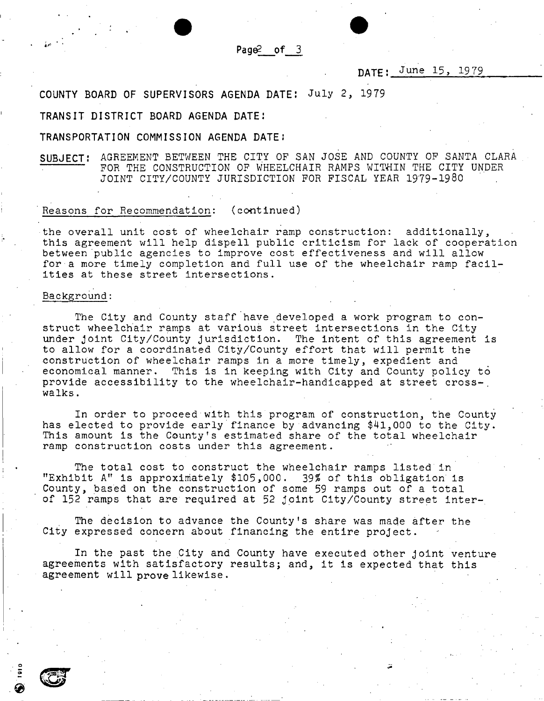**Pag**©2 **of** 3

# DATE: June 15, 1979

# COUNTY BOARD OF SUPERVISORS AGENDA DATE: July 2, 1979

#### TRANSIT DISTRICT BOARD AGENDA DATE:

#### TRANSPORTATION COMMISSION AGENDA DATE:

SUBJECT: AGREEMENT BETWEEN THE CITY OF SAN JOSE AND COUNTY OF SANTA CLARA FOR THE CONSTRUCTION OF WHEELCHAIR RAMPS WITHIN THE CITY UNDER JOINT CITY/COUNTY JURISDICTION FOR FISCAL YEAR 1979-1980

### Reasons for Recommendation: (continued)

the overall unit cost of wheelchair ramp construction: additionally, this agreement will help dispell public criticism for lack of cooperation between public agencies to Improve cost effectiveness and will allow for a more timely completion and full use of the wheelchair ramp facilities at these street intersections.

#### Background:

The City and County staff have developed a work program to construct wheelchair ramps at various street intersections in the City under joint City/County jurisdiction. The intent of this agreement is to allow for a coordinated City/County effort that will permit the construction of wheelchair ramps in a more timely, expedient and economical manner. This is in keeping with City and County policy to provide accessibility to the wheelchair-handicapped at street cross-, walks.

In order to proceed with this program of construction, the County has elected to provide early finance by advancing \$41,000 to the City. This amount Is the County's estimated share of the total wheelchair ramp construction costs under this agreement.

The total cost to construct the wheelchair ramps listed in "Exhibit A" is approximately \$105,000. 39? of this obligation is County, based on the construction of some 59 ramps out of a total of 152 ramps that are required at 52 joint City/County street inter-.

The decision to advance the County's share was made after the City expressed concern about financing the entire project.

In the past the City and County have executed other joint venture agreements with satisfactory results; and, it is expected that this agreement will prove likewise.

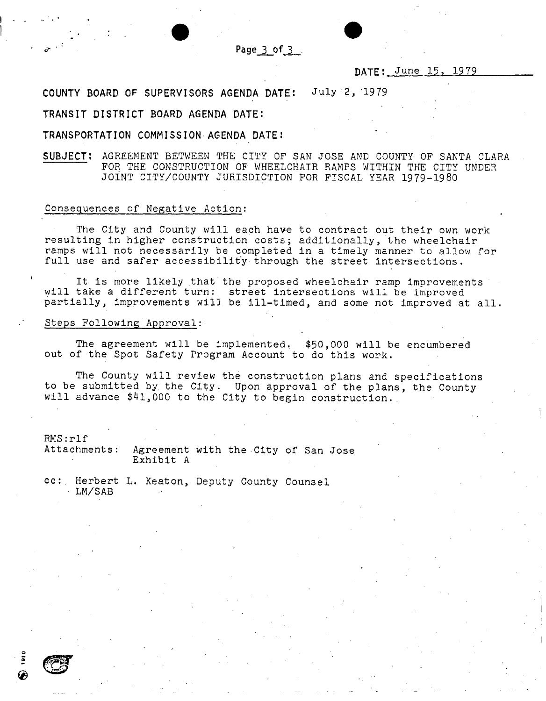

# DATE: June 15, 1979

# COUNTY BOARD OF SUPERVISORS AGENDA DATE: July"2, 1979

#### TRANSIT DISTRICT BOARD AGENDA DATE:

### TRANSPORTATION COMMISSION AGENDA DATE:

SUBJECT: AGREEMENT BETWEEN THE CITY OF SAN JOSE AND COUNTY OP SANTA CLARA FOR THE CONSTRUCTION OF WHEELCHAIR RAMPS WITHIN THE CITY UNDER JOINT CITY/COUNTY JURISDICTION FOR FISCAL YEAR 1979-19 80

#### Consequences of Negative Action:

The City and County will each have to contract out their own work resulting in higher construction costs; additionally, the wheelchair ramps will not necessarily be completed in a timely manner to allow for full use and safer accessibility through the street intersections.

It is more likely that the proposed wheelchair ramp improvements will take a different turn: street intersections will be improved partially, improvements will be ill-timed, and some not improved at all.

#### Steps Following Approval:

The agreement will be implemented. \$50,000 will be encumbered out of the Spot Safety Program Account to do this work.

The County will review the construction plans and specifications to be submitted by. the City. Upon approval of the plans, the County will advance \$41,000 to the City to begin construction.

RMS:rlf<br>Attachments: Agreement with the City of San Jose Exhibit A

cc:. Herbert L. Keaton, Deputy County Counsel • LM/SAB